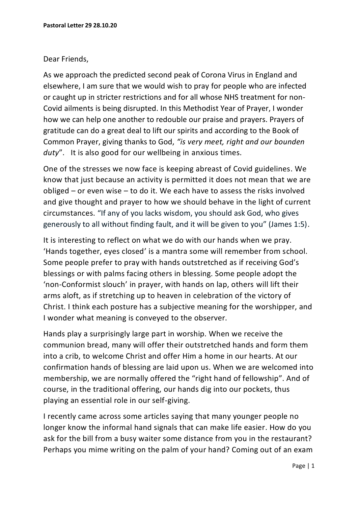## Dear Friends,

As we approach the predicted second peak of Corona Virus in England and elsewhere, I am sure that we would wish to pray for people who are infected or caught up in stricter restrictions and for all whose NHS treatment for non-Covid ailments is being disrupted. In this Methodist Year of Prayer, I wonder how we can help one another to redouble our praise and prayers. Prayers of gratitude can do a great deal to lift our spirits and according to the Book of Common Prayer, giving thanks to God, *"is very meet, right and our bounden duty*". It is also good for our wellbeing in anxious times.

One of the stresses we now face is keeping abreast of Covid guidelines. We know that just because an activity is permitted it does not mean that we are obliged – or even wise – to do it. We each have to assess the risks involved and give thought and prayer to how we should behave in the light of current circumstances. "If any of you lacks wisdom, you should ask God, who gives generously to all without finding fault, and it will be given to you" (James 1:5).

It is interesting to reflect on what we do with our hands when we pray. 'Hands together, eyes closed' is a mantra some will remember from school. Some people prefer to pray with hands outstretched as if receiving God's blessings or with palms facing others in blessing. Some people adopt the 'non-Conformist slouch' in prayer, with hands on lap, others will lift their arms aloft, as if stretching up to heaven in celebration of the victory of Christ. I think each posture has a subjective meaning for the worshipper, and I wonder what meaning is conveyed to the observer.

Hands play a surprisingly large part in worship. When we receive the communion bread, many will offer their outstretched hands and form them into a crib, to welcome Christ and offer Him a home in our hearts. At our confirmation hands of blessing are laid upon us. When we are welcomed into membership, we are normally offered the "right hand of fellowship". And of course, in the traditional offering, our hands dig into our pockets, thus playing an essential role in our self-giving.

I recently came across some articles saying that many younger people no longer know the informal hand signals that can make life easier. How do you ask for the bill from a busy waiter some distance from you in the restaurant? Perhaps you mime writing on the palm of your hand? Coming out of an exam